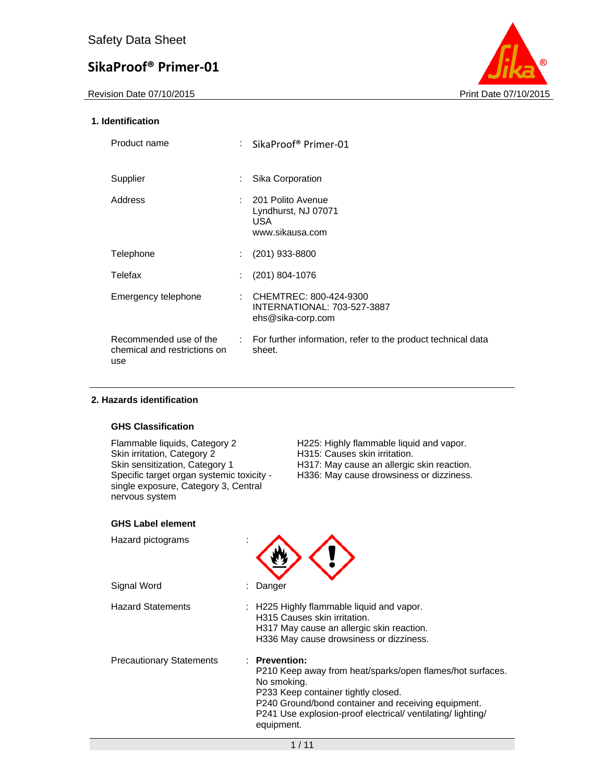Revision Date 07/10/2015 **Print Date 07/10/2015** 



## **1. Identification**

| Product name                                                  |   | $\therefore$ SikaProof® Primer-01                                          |
|---------------------------------------------------------------|---|----------------------------------------------------------------------------|
| Supplier                                                      | ÷ | Sika Corporation                                                           |
| Address                                                       |   | : 201 Polito Avenue<br>Lyndhurst, NJ 07071<br>USA.<br>www.sikausa.com      |
| Telephone                                                     |   | $(201)$ 933-8800                                                           |
| Telefax                                                       | ÷ | $(201)$ 804-1076                                                           |
| Emergency telephone                                           |   | CHEMTREC: 800-424-9300<br>INTERNATIONAL: 703-527-3887<br>ehs@sika-corp.com |
| Recommended use of the<br>chemical and restrictions on<br>use |   | : For further information, refer to the product technical data<br>sheet.   |

## **2. Hazards identification**

## **GHS Classification**

Skin irritation, Category 2 H315: Causes skin irritation.<br>
Skin sensitization, Category 1 H317: May cause an allergic Specific target organ systemic toxicity single exposure, Category 3, Central nervous system

Flammable liquids, Category 2 H225: Highly flammable liquid and vapor.<br>Skin irritation, Category 2 H315: Causes skin irritation. H317: May cause an allergic skin reaction. H336: May cause drowsiness or dizziness.

## **GHS Label element**

| Hazard pictograms               |                                                                                                                                                                                                                                                                                |
|---------------------------------|--------------------------------------------------------------------------------------------------------------------------------------------------------------------------------------------------------------------------------------------------------------------------------|
| Signal Word                     | Danger                                                                                                                                                                                                                                                                         |
| <b>Hazard Statements</b>        | : H225 Highly flammable liquid and vapor.<br>H315 Causes skin irritation.<br>H317 May cause an allergic skin reaction.<br>H336 May cause drowsiness or dizziness.                                                                                                              |
| <b>Precautionary Statements</b> | $\therefore$ Prevention:<br>P210 Keep away from heat/sparks/open flames/hot surfaces.<br>No smoking.<br>P233 Keep container tightly closed.<br>P240 Ground/bond container and receiving equipment.<br>P241 Use explosion-proof electrical/ ventilating/lighting/<br>equipment. |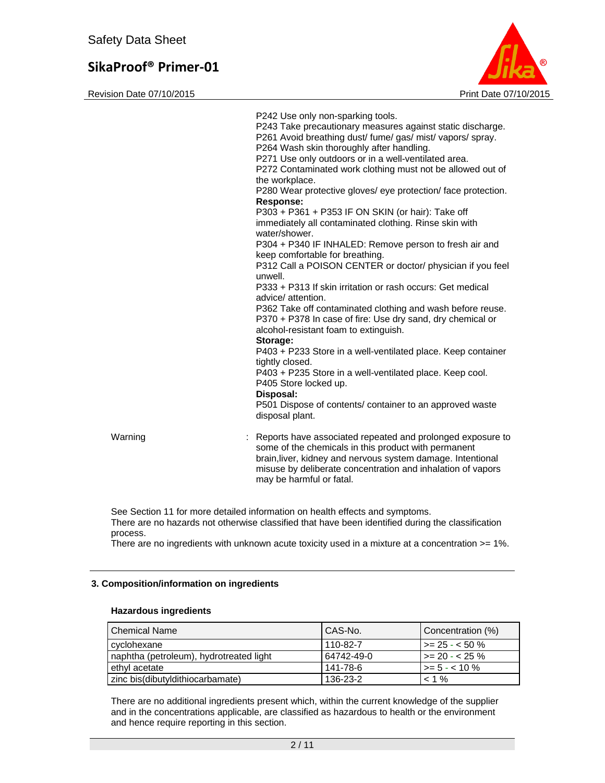Revision Date 07/10/2015 **Print Date 07/10/2015** 



|         | P242 Use only non-sparking tools.<br>P243 Take precautionary measures against static discharge.<br>P261 Avoid breathing dust/ fume/ gas/ mist/ vapors/ spray.<br>P264 Wash skin thoroughly after handling.<br>P271 Use only outdoors or in a well-ventilated area.<br>P272 Contaminated work clothing must not be allowed out of<br>the workplace.<br>P280 Wear protective gloves/ eye protection/ face protection.<br><b>Response:</b><br>P303 + P361 + P353 IF ON SKIN (or hair): Take off<br>immediately all contaminated clothing. Rinse skin with<br>water/shower.<br>P304 + P340 IF INHALED: Remove person to fresh air and<br>keep comfortable for breathing.<br>P312 Call a POISON CENTER or doctor/ physician if you feel<br>unwell.<br>P333 + P313 If skin irritation or rash occurs: Get medical<br>advice/ attention.<br>P362 Take off contaminated clothing and wash before reuse.<br>P370 + P378 In case of fire: Use dry sand, dry chemical or<br>alcohol-resistant foam to extinguish.<br>Storage:<br>P403 + P233 Store in a well-ventilated place. Keep container<br>tightly closed.<br>P403 + P235 Store in a well-ventilated place. Keep cool.<br>P405 Store locked up.<br>Disposal:<br>P501 Dispose of contents/ container to an approved waste<br>disposal plant. |
|---------|----------------------------------------------------------------------------------------------------------------------------------------------------------------------------------------------------------------------------------------------------------------------------------------------------------------------------------------------------------------------------------------------------------------------------------------------------------------------------------------------------------------------------------------------------------------------------------------------------------------------------------------------------------------------------------------------------------------------------------------------------------------------------------------------------------------------------------------------------------------------------------------------------------------------------------------------------------------------------------------------------------------------------------------------------------------------------------------------------------------------------------------------------------------------------------------------------------------------------------------------------------------------------------------|
| Warning | : Reports have associated repeated and prolonged exposure to<br>some of the chemicals in this product with permanent<br>brain, liver, kidney and nervous system damage. Intentional<br>misuse by deliberate concentration and inhalation of vapors<br>may be harmful or fatal.                                                                                                                                                                                                                                                                                                                                                                                                                                                                                                                                                                                                                                                                                                                                                                                                                                                                                                                                                                                                         |

See Section 11 for more detailed information on health effects and symptoms. There are no hazards not otherwise classified that have been identified during the classification process.

There are no ingredients with unknown acute toxicity used in a mixture at a concentration >= 1%.

## **3. Composition/information on ingredients**

#### **Hazardous ingredients**

| <b>Chemical Name</b>                    | CAS-No.    | Concentration (%)      |
|-----------------------------------------|------------|------------------------|
| cvclohexane                             | 110-82-7   | l >= 25 - < 50 %       |
| naphtha (petroleum), hydrotreated light | 64742-49-0 | $\vert$ >= 20 - < 25 % |
| ethyl acetate                           | 141-78-6   | $\ge$ = 5 - < 10 %     |
| zinc bis(dibutyldithiocarbamate)        | 136-23-2   | $< 1\%$                |

There are no additional ingredients present which, within the current knowledge of the supplier and in the concentrations applicable, are classified as hazardous to health or the environment and hence require reporting in this section.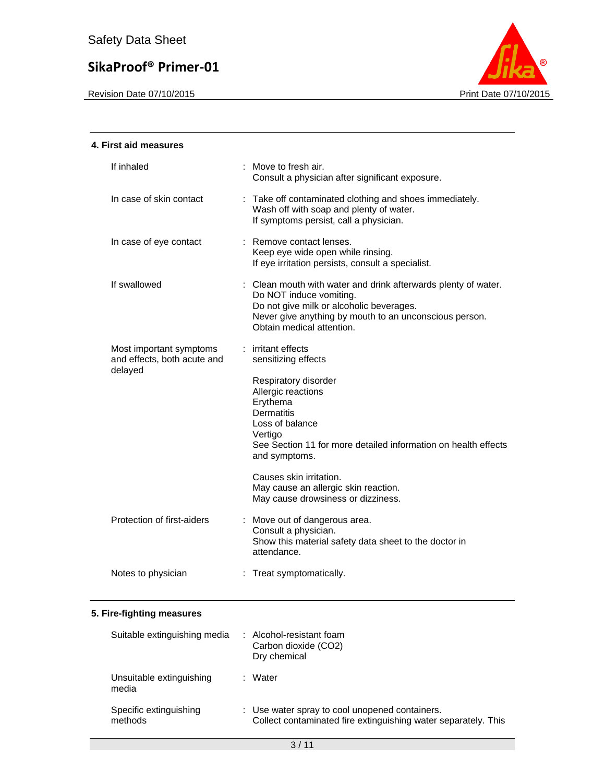

| 4. First aid measures                                             |                                                                                                                                                                                                                              |
|-------------------------------------------------------------------|------------------------------------------------------------------------------------------------------------------------------------------------------------------------------------------------------------------------------|
| If inhaled                                                        | : Move to fresh air.<br>Consult a physician after significant exposure.                                                                                                                                                      |
| In case of skin contact                                           | : Take off contaminated clothing and shoes immediately.<br>Wash off with soap and plenty of water.<br>If symptoms persist, call a physician.                                                                                 |
| In case of eye contact                                            | : Remove contact lenses.<br>Keep eye wide open while rinsing.<br>If eye irritation persists, consult a specialist.                                                                                                           |
| If swallowed                                                      | : Clean mouth with water and drink afterwards plenty of water.<br>Do NOT induce vomiting.<br>Do not give milk or alcoholic beverages.<br>Never give anything by mouth to an unconscious person.<br>Obtain medical attention. |
| Most important symptoms<br>and effects, both acute and<br>delayed | irritant effects<br>sensitizing effects                                                                                                                                                                                      |
|                                                                   | Respiratory disorder<br>Allergic reactions<br>Erythema<br><b>Dermatitis</b><br>Loss of balance<br>Vertigo<br>See Section 11 for more detailed information on health effects<br>and symptoms.                                 |
|                                                                   | Causes skin irritation.<br>May cause an allergic skin reaction.<br>May cause drowsiness or dizziness.                                                                                                                        |
| Protection of first-aiders                                        | : Move out of dangerous area.<br>Consult a physician.<br>Show this material safety data sheet to the doctor in<br>attendance.                                                                                                |
| Notes to physician                                                | : Treat symptomatically.                                                                                                                                                                                                     |

| Suitable extinguishing media      | : Alcohol-resistant foam<br>Carbon dioxide (CO2)<br>Dry chemical                                                 |
|-----------------------------------|------------------------------------------------------------------------------------------------------------------|
| Unsuitable extinguishing<br>media | Water                                                                                                            |
| Specific extinguishing<br>methods | : Use water spray to cool unopened containers.<br>Collect contaminated fire extinguishing water separately. This |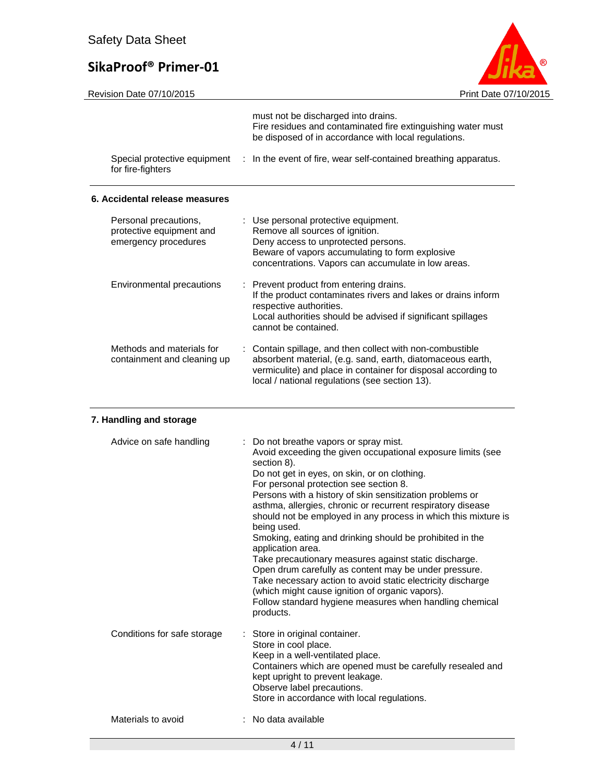

|                                                                           | must not be discharged into drains.<br>Fire residues and contaminated fire extinguishing water must<br>be disposed of in accordance with local regulations.                                                                                                                                                                                                                                                                                                                                                                                                                                                                                                                                                                                                                                                                 |
|---------------------------------------------------------------------------|-----------------------------------------------------------------------------------------------------------------------------------------------------------------------------------------------------------------------------------------------------------------------------------------------------------------------------------------------------------------------------------------------------------------------------------------------------------------------------------------------------------------------------------------------------------------------------------------------------------------------------------------------------------------------------------------------------------------------------------------------------------------------------------------------------------------------------|
| Special protective equipment<br>for fire-fighters                         | In the event of fire, wear self-contained breathing apparatus.<br>÷.                                                                                                                                                                                                                                                                                                                                                                                                                                                                                                                                                                                                                                                                                                                                                        |
| 6. Accidental release measures                                            |                                                                                                                                                                                                                                                                                                                                                                                                                                                                                                                                                                                                                                                                                                                                                                                                                             |
| Personal precautions,<br>protective equipment and<br>emergency procedures | : Use personal protective equipment.<br>Remove all sources of ignition.<br>Deny access to unprotected persons.<br>Beware of vapors accumulating to form explosive<br>concentrations. Vapors can accumulate in low areas.                                                                                                                                                                                                                                                                                                                                                                                                                                                                                                                                                                                                    |
| Environmental precautions                                                 | : Prevent product from entering drains.<br>If the product contaminates rivers and lakes or drains inform<br>respective authorities.<br>Local authorities should be advised if significant spillages<br>cannot be contained.                                                                                                                                                                                                                                                                                                                                                                                                                                                                                                                                                                                                 |
| Methods and materials for<br>containment and cleaning up                  | Contain spillage, and then collect with non-combustible<br>absorbent material, (e.g. sand, earth, diatomaceous earth,<br>vermiculite) and place in container for disposal according to<br>local / national regulations (see section 13).                                                                                                                                                                                                                                                                                                                                                                                                                                                                                                                                                                                    |
| 7. Handling and storage                                                   |                                                                                                                                                                                                                                                                                                                                                                                                                                                                                                                                                                                                                                                                                                                                                                                                                             |
| Advice on safe handling                                                   | Do not breathe vapors or spray mist.<br>÷.<br>Avoid exceeding the given occupational exposure limits (see<br>section 8).<br>Do not get in eyes, on skin, or on clothing.<br>For personal protection see section 8.<br>Persons with a history of skin sensitization problems or<br>asthma, allergies, chronic or recurrent respiratory disease<br>should not be employed in any process in which this mixture is<br>being used.<br>Smoking, eating and drinking should be prohibited in the<br>application area.<br>Take precautionary measures against static discharge.<br>Open drum carefully as content may be under pressure.<br>Take necessary action to avoid static electricity discharge<br>(which might cause ignition of organic vapors).<br>Follow standard hygiene measures when handling chemical<br>products. |
| Conditions for safe storage                                               | Store in original container.<br>Store in cool place.<br>Keep in a well-ventilated place.<br>Containers which are opened must be carefully resealed and<br>kept upright to prevent leakage.                                                                                                                                                                                                                                                                                                                                                                                                                                                                                                                                                                                                                                  |

## Materials to avoid : No data available

Observe label precautions.

Store in accordance with local regulations.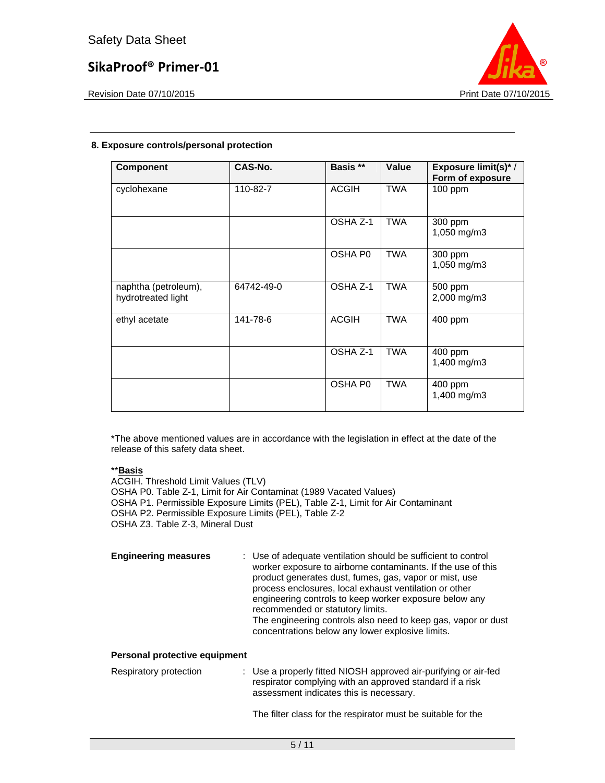

Revision Date 07/10/2015 **Print Date 07/10/2015** Print Date 07/10/2015

# **8. Exposure controls/personal protection**

| <b>Component</b>                           | CAS-No.    | Basis **     | Value      | <b>Exposure limit(s)*/</b><br>Form of exposure |
|--------------------------------------------|------------|--------------|------------|------------------------------------------------|
| cyclohexane                                | 110-82-7   | <b>ACGIH</b> | <b>TWA</b> | 100 ppm                                        |
|                                            |            | OSHA Z-1     | <b>TWA</b> | 300 ppm<br>1,050 mg/m3                         |
|                                            |            | OSHA P0      | TWA        | 300 ppm<br>1,050 mg/m3                         |
| naphtha (petroleum),<br>hydrotreated light | 64742-49-0 | OSHA Z-1     | <b>TWA</b> | 500 ppm<br>2,000 mg/m3                         |
| ethyl acetate                              | 141-78-6   | <b>ACGIH</b> | <b>TWA</b> | 400 ppm                                        |
|                                            |            | OSHA Z-1     | <b>TWA</b> | 400 ppm<br>1,400 mg/m3                         |
|                                            |            | OSHA P0      | <b>TWA</b> | 400 ppm<br>1,400 mg/m3                         |

\*The above mentioned values are in accordance with the legislation in effect at the date of the release of this safety data sheet.

## \*\***Basis**

ACGIH. Threshold Limit Values (TLV) OSHA P0. Table Z-1, Limit for Air Contaminat (1989 Vacated Values) OSHA P1. Permissible Exposure Limits (PEL), Table Z-1, Limit for Air Contaminant OSHA P2. Permissible Exposure Limits (PEL), Table Z-2 OSHA Z3. Table Z-3, Mineral Dust

**Engineering measures** : Use of adequate ventilation should be sufficient to control worker exposure to airborne contaminants. If the use of this product generates dust, fumes, gas, vapor or mist, use process enclosures, local exhaust ventilation or other engineering controls to keep worker exposure below any recommended or statutory limits. The engineering controls also need to keep gas, vapor or dust concentrations below any lower explosive limits.

## **Personal protective equipment**

| Respiratory protection | : Use a properly fitted NIOSH approved air-purifying or air-fed |
|------------------------|-----------------------------------------------------------------|
|                        | respirator complying with an approved standard if a risk        |
|                        | assessment indicates this is necessary.                         |

The filter class for the respirator must be suitable for the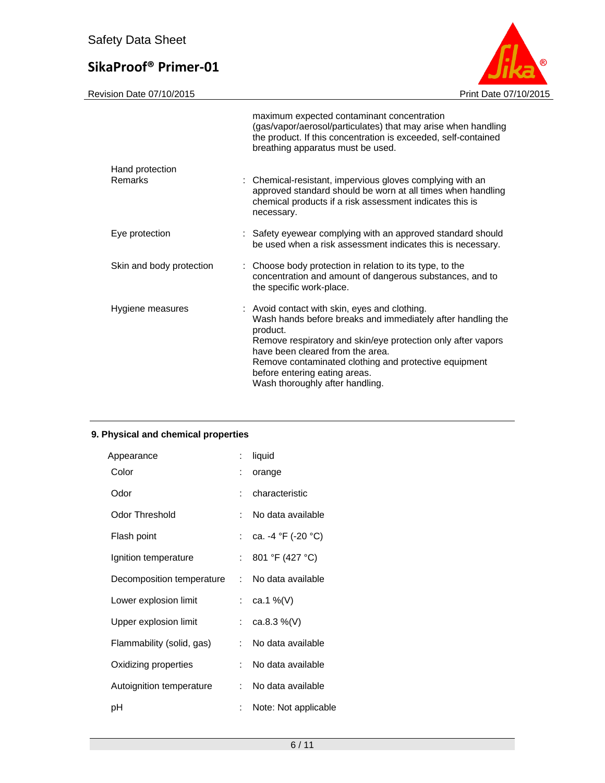Revision Date 07/10/2015

|                            | maximum expected contaminant concentration<br>(gas/vapor/aerosol/particulates) that may arise when handling<br>the product. If this concentration is exceeded, self-contained<br>breathing apparatus must be used.                                                                                                                                        |
|----------------------------|-----------------------------------------------------------------------------------------------------------------------------------------------------------------------------------------------------------------------------------------------------------------------------------------------------------------------------------------------------------|
| Hand protection<br>Remarks | : Chemical-resistant, impervious gloves complying with an<br>approved standard should be worn at all times when handling<br>chemical products if a risk assessment indicates this is<br>necessary.                                                                                                                                                        |
| Eye protection             | : Safety eyewear complying with an approved standard should<br>be used when a risk assessment indicates this is necessary.                                                                                                                                                                                                                                |
| Skin and body protection   | : Choose body protection in relation to its type, to the<br>concentration and amount of dangerous substances, and to<br>the specific work-place.                                                                                                                                                                                                          |
| Hygiene measures           | : Avoid contact with skin, eyes and clothing.<br>Wash hands before breaks and immediately after handling the<br>product.<br>Remove respiratory and skin/eye protection only after vapors<br>have been cleared from the area.<br>Remove contaminated clothing and protective equipment<br>before entering eating areas.<br>Wash thoroughly after handling. |

# **9. Physical and chemical properties**

| Appearance                | ÷. | liquid                                   |
|---------------------------|----|------------------------------------------|
| Color                     | ÷  | orange                                   |
| Odor                      | t. | characteristic                           |
| <b>Odor Threshold</b>     | t. | No data available                        |
| Flash point               |    | : ca. -4 $^{\circ}$ F (-20 $^{\circ}$ C) |
| Ignition temperature      | t. | 801 °F (427 °C)                          |
| Decomposition temperature |    | : No data available                      |
| Lower explosion limit     |    | : $ca.1\%$ (V)                           |
| Upper explosion limit     | t. | ca.8.3 $%$ (V)                           |
| Flammability (solid, gas) | t. | No data available                        |
| Oxidizing properties      | t. | No data available                        |
| Autoignition temperature  | t. | No data available                        |
| рH                        | ÷. | Note: Not applicable                     |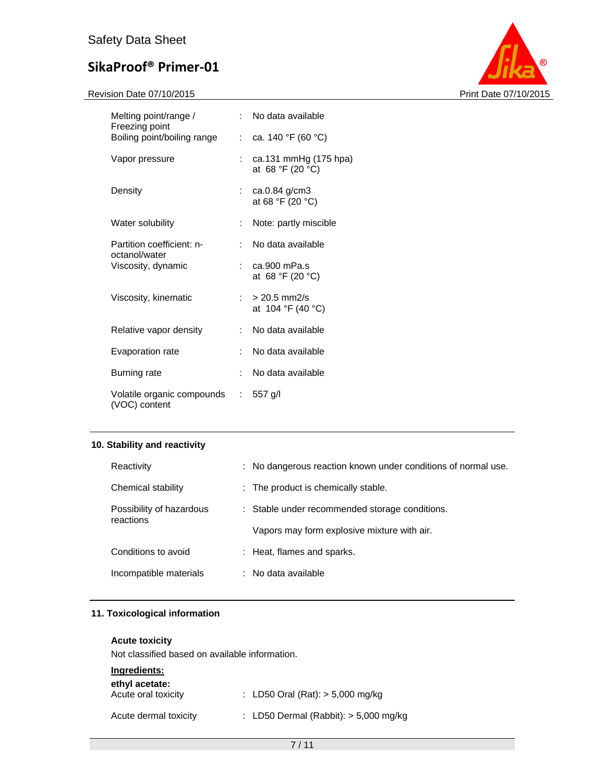Revision Date 07/10/2015 **Print Date 07/10/2015** 



| Melting point/range /                         |                            | : No data available                       |
|-----------------------------------------------|----------------------------|-------------------------------------------|
| Freezing point<br>Boiling point/boiling range |                            | : ca. 140 °F (60 °C)                      |
| Vapor pressure                                |                            | ca.131 mmHg (175 hpa)<br>at 68 °F (20 °C) |
| Density                                       |                            | ca.0.84 g/cm3<br>at 68 °F (20 °C)         |
| Water solubility                              | t.                         | Note: partly miscible                     |
| Partition coefficient: n-<br>octanol/water    | t.                         | No data available                         |
| Viscosity, dynamic                            | $\mathcal{F}(\mathcal{A})$ | ca.900 mPa.s<br>at 68 °F (20 °C)          |
| Viscosity, kinematic                          | t.                         | $> 20.5$ mm2/s<br>at 104 °F (40 °C)       |
| Relative vapor density                        | t.                         | No data available                         |
| Evaporation rate                              | t.                         | No data available                         |
| Burning rate                                  | t.                         | No data available                         |
| Volatile organic compounds<br>(VOC) content   | $\mathcal{L}$              | $557$ g/l                                 |

## **10. Stability and reactivity**

| Reactivity                            | : No dangerous reaction known under conditions of normal use. |
|---------------------------------------|---------------------------------------------------------------|
| Chemical stability                    | : The product is chemically stable.                           |
| Possibility of hazardous<br>reactions | : Stable under recommended storage conditions.                |
|                                       | Vapors may form explosive mixture with air.                   |
| Conditions to avoid                   | : Heat, flames and sparks.                                    |
| Incompatible materials                | $:$ No data available                                         |

# **11. Toxicological information**

## **Acute toxicity**

Not classified based on available information.

| Ingredients:<br>ethyl acetate: |                                         |
|--------------------------------|-----------------------------------------|
| Acute oral toxicity            | : LD50 Oral (Rat): $> 5,000$ mg/kg      |
| Acute dermal toxicity          | : LD50 Dermal (Rabbit): $>$ 5,000 mg/kg |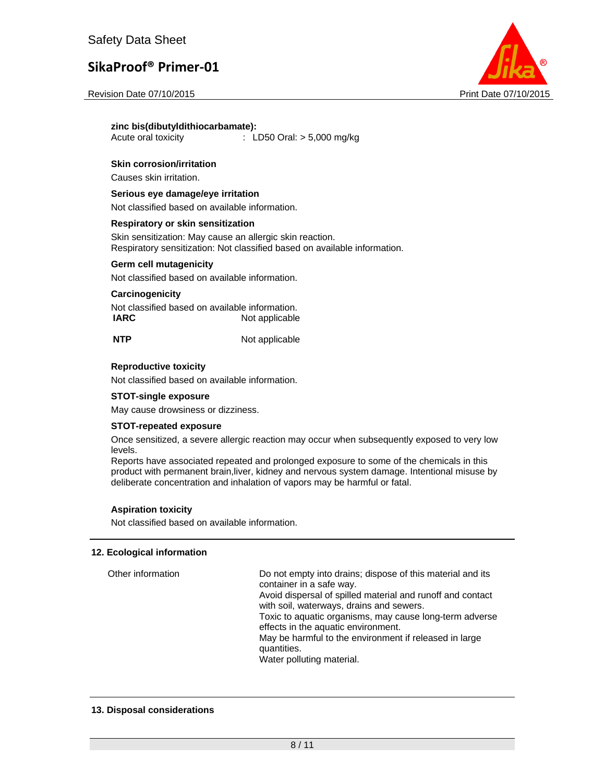

#### **zinc bis(dibutyldithiocarbamate):**

Acute oral toxicity : LD50 Oral: > 5,000 mg/kg

### **Skin corrosion/irritation**

Causes skin irritation.

#### **Serious eye damage/eye irritation**

Not classified based on available information.

#### **Respiratory or skin sensitization**

Skin sensitization: May cause an allergic skin reaction. Respiratory sensitization: Not classified based on available information.

#### **Germ cell mutagenicity**

Not classified based on available information.

#### **Carcinogenicity**

Not classified based on available information. **IARC** Not applicable

**NTP** Not applicable

#### **Reproductive toxicity**

Not classified based on available information.

#### **STOT-single exposure**

May cause drowsiness or dizziness.

#### **STOT-repeated exposure**

Once sensitized, a severe allergic reaction may occur when subsequently exposed to very low levels.

Reports have associated repeated and prolonged exposure to some of the chemicals in this product with permanent brain,liver, kidney and nervous system damage. Intentional misuse by deliberate concentration and inhalation of vapors may be harmful or fatal.

#### **Aspiration toxicity**

Not classified based on available information.

### **12. Ecological information**

| Other information | Do not empty into drains; dispose of this material and its<br>container in a safe way.<br>Avoid dispersal of spilled material and runoff and contact<br>with soil, waterways, drains and sewers.<br>Toxic to aquatic organisms, may cause long-term adverse<br>effects in the aquatic environment.<br>May be harmful to the environment if released in large<br>quantities.<br>Water polluting material. |
|-------------------|----------------------------------------------------------------------------------------------------------------------------------------------------------------------------------------------------------------------------------------------------------------------------------------------------------------------------------------------------------------------------------------------------------|
|-------------------|----------------------------------------------------------------------------------------------------------------------------------------------------------------------------------------------------------------------------------------------------------------------------------------------------------------------------------------------------------------------------------------------------------|

#### **13. Disposal considerations**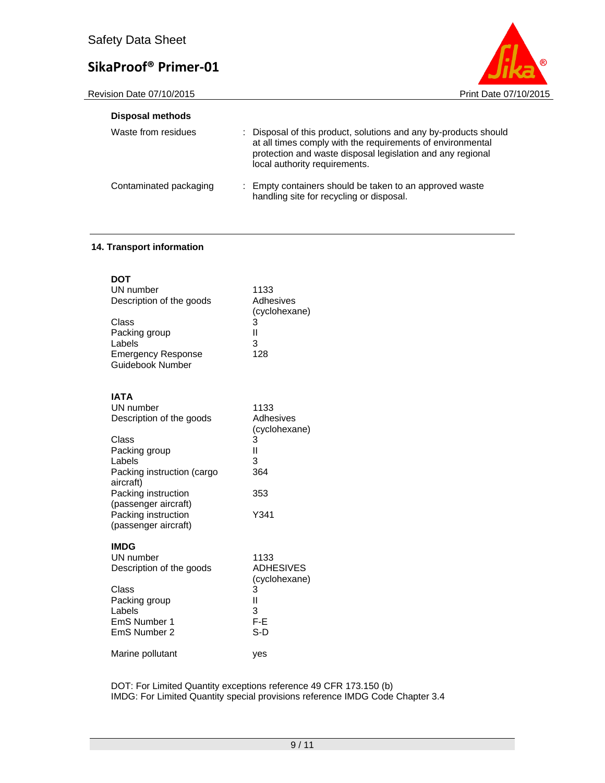Revision Date 07/10/2015 **Print Date 07/10/2015** 



| <b>Disposal methods</b> |                                                                                                                                                                                                                               |  |
|-------------------------|-------------------------------------------------------------------------------------------------------------------------------------------------------------------------------------------------------------------------------|--|
| Waste from residues     | : Disposal of this product, solutions and any by-products should<br>at all times comply with the requirements of environmental<br>protection and waste disposal legislation and any regional<br>local authority requirements. |  |
| Contaminated packaging  | : Empty containers should be taken to an approved waste<br>handling site for recycling or disposal.                                                                                                                           |  |

## **14. Transport information**

| DOT<br>UN number<br>Description of the goods<br>Class<br>Packing group<br>Labels<br><b>Emergency Response</b><br>Guidebook Number                                                                                                 | 1133<br>Adhesives<br>(cyclohexane)<br>3<br>Ш<br>3<br>128                |
|-----------------------------------------------------------------------------------------------------------------------------------------------------------------------------------------------------------------------------------|-------------------------------------------------------------------------|
| <b>IATA</b><br>UN number<br>Description of the goods<br>Class<br>Packing group<br>Labels<br>Packing instruction (cargo<br>aircraft)<br>Packing instruction<br>(passenger aircraft)<br>Packing instruction<br>(passenger aircraft) | 1133<br>Adhesives<br>(cyclohexane)<br>3<br>Ш<br>3<br>364<br>353<br>Y341 |
| <b>IMDG</b><br>UN number<br>Description of the goods<br>Class<br>Packing group<br>Labels<br>EmS Number 1<br>EmS Number 2                                                                                                          | 1133<br><b>ADHESIVES</b><br>(cyclohexane)<br>3<br>Ш<br>3<br>F-E<br>S-D  |
| Marine pollutant                                                                                                                                                                                                                  | yes                                                                     |

DOT: For Limited Quantity exceptions reference 49 CFR 173.150 (b) IMDG: For Limited Quantity special provisions reference IMDG Code Chapter 3.4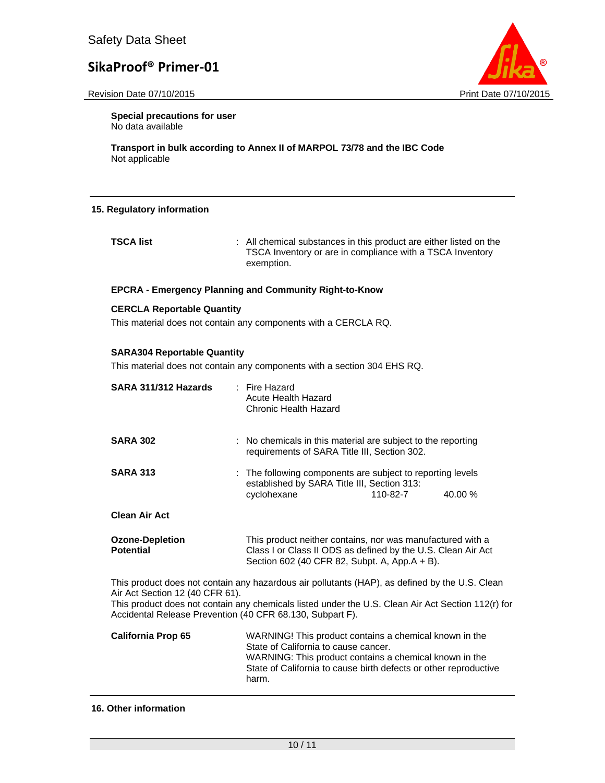



**Special precautions for user** No data available

**Transport in bulk according to Annex II of MARPOL 73/78 and the IBC Code**  Not applicable

### **15. Regulatory information**

**TSCA list** : All chemical substances in this product are either listed on the TSCA Inventory or are in compliance with a TSCA Inventory exemption.

### **EPCRA - Emergency Planning and Community Right-to-Know**

### **CERCLA Reportable Quantity**

This material does not contain any components with a CERCLA RQ.

### **SARA304 Reportable Quantity**

This material does not contain any components with a section 304 EHS RQ.

| SARA 311/312 Hazards                                                                                                                                                                                                                                                                                 | : Fire Hazard<br>Acute Health Hazard<br>Chronic Health Hazard                                                                                                                                                                         |          |         |
|------------------------------------------------------------------------------------------------------------------------------------------------------------------------------------------------------------------------------------------------------------------------------------------------------|---------------------------------------------------------------------------------------------------------------------------------------------------------------------------------------------------------------------------------------|----------|---------|
| <b>SARA 302</b>                                                                                                                                                                                                                                                                                      | : No chemicals in this material are subject to the reporting<br>requirements of SARA Title III, Section 302.                                                                                                                          |          |         |
| <b>SARA 313</b>                                                                                                                                                                                                                                                                                      | : The following components are subject to reporting levels<br>established by SARA Title III, Section 313:<br>cyclohexane                                                                                                              | 110-82-7 | 40.00 % |
| <b>Clean Air Act</b>                                                                                                                                                                                                                                                                                 |                                                                                                                                                                                                                                       |          |         |
| <b>Ozone-Depletion</b><br><b>Potential</b>                                                                                                                                                                                                                                                           | This product neither contains, nor was manufactured with a<br>Class I or Class II ODS as defined by the U.S. Clean Air Act<br>Section 602 (40 CFR 82, Subpt. A, App.A + B).                                                           |          |         |
| This product does not contain any hazardous air pollutants (HAP), as defined by the U.S. Clean<br>Air Act Section 12 (40 CFR 61).<br>This product does not contain any chemicals listed under the U.S. Clean Air Act Section 112(r) for<br>Accidental Release Prevention (40 CFR 68.130, Subpart F). |                                                                                                                                                                                                                                       |          |         |
| <b>California Prop 65</b>                                                                                                                                                                                                                                                                            | WARNING! This product contains a chemical known in the<br>State of California to cause cancer.<br>WARNING: This product contains a chemical known in the<br>State of California to cause birth defects or other reproductive<br>harm. |          |         |

### **16. Other information**